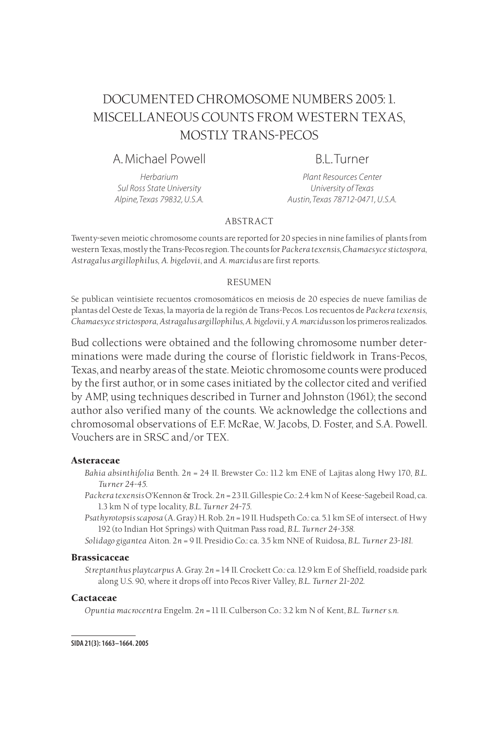# DOCUMENTED CHROMOSOME NUMBERS 2005: 1. MISCELLANEOUS COUNTS FROM WESTERN TEXAS, MOSTLY TRANS-PECOS

# A. Michael Powell B.L. Turner

*Herbarium Plant Resources Center Sul Ross State University University of Texas Alpine, Texas 79832, U.S.A. Austin, Texas 78712-0471, U.S.A.*

## ABSTRACT

Twenty-seven meiotic chromosome counts are reported for 20 species in nine families of plants from western Texas, mostly the Trans-Pecos region. The counts for *Packera texensis*, *Chamaesyce stictospora*, *Astragalus argillophilus*, *A. bigelovii*, and *A. marcidus* are first reports.

#### RESUMEN

Se publican veintisiete recuentos cromosomáticos en meiosis de 20 especies de nueve familias de plantas del Oeste de Texas, la mayoría de la región de Trans-Pecos. Los recuentos de *Packera texensis*, *Chamaesyce strictospora*, *Astragalus argillophilus*,*A. bigelovii*, y *A. marcidus* son los primeros realizados.

Bud collections were obtained and the following chromosome number determinations were made during the course of floristic fieldwork in Trans-Pecos, Texas, and nearby areas of the state. Meiotic chromosome counts were produced by the first author, or in some cases initiated by the collector cited and verified by AMP, using techniques described in Turner and Johnston (1961); the second author also verified many of the counts. We acknowledge the collections and chromosomal observations of E.F. McRae, W. Jacobs, D. Foster, and S.A. Powell. Vouchers are in SRSC and/or TEX.

#### Asteraceae

- *Bahia absinthifolia* Benth. 2*n* = 24 II. Brewster Co.: 11.2 km ENE of Lajitas along Hwy 170, *B.L. Turner 24-45*.
- *Packera texensis* O'Kennon & Trock. 2*n* = 23 II. Gillespie Co.: 2.4 km N of Keese-Sagebeil Road, ca. 1.3 km N of type locality, *B.L. Turner 24-75*.
- *Psathyrotopsis scaposa* (A. Gray) H. Rob. 2*n* = 19 II. Hudspeth Co.: ca. 5.1 km SE of intersect. of Hwy 192 (to Indian Hot Springs) with Quitman Pass road, *B.L. Turner 24-358*.
- *Solidago gigantea* Aiton. 2*n* = 9 II. Presidio Co.: ca. 3.5 km NNE of Ruidosa, *B.L. Turner 23-181*.

#### Brassicaceae

*Streptanthus playtcarpus* A. Gray. 2*n* = 14 II. Crockett Co.: ca. 12.9 km E of Sheffield, roadside park along U.S. 90, where it drops off into Pecos River Valley, *B.L. Turner 21-202*.

#### **Cactaceae**

*Opuntia macrocentra* Engelm. 2*n* = 11 II. Culberson Co.: 3.2 km N of Kent, *B.L. Turner s.n.*

**SIDA 21(3): 1663–1664. 2005**